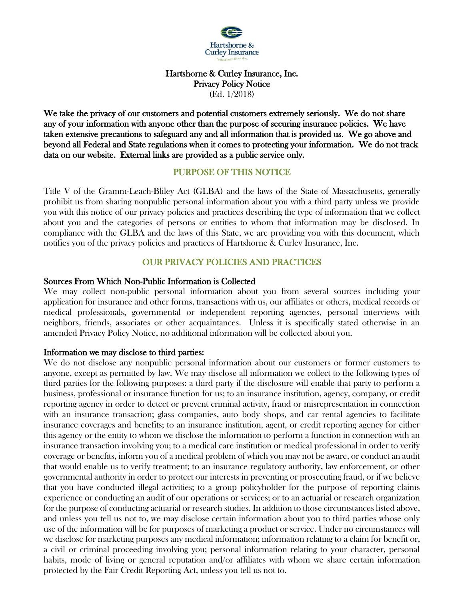

#### Hartshorne & Curley Insurance, Inc. Privacy Policy Notice (Ed. 1/2018)

We take the privacy of our customers and potential customers extremely seriously. We do not share any of your information with anyone other than the purpose of securing insurance policies. We have taken extensive precautions to safeguard any and all information that is provided us. We go above and beyond all Federal and State regulations when it comes to protecting your information. We do not track data on our website. External links are provided as a public service only.

# PURPOSE OF THIS NOTICE

Title V of the Gramm-Leach-Bliley Act (GLBA) and the laws of the State of Massachusetts, generally prohibit us from sharing nonpublic personal information about you with a third party unless we provide you with this notice of our privacy policies and practices describing the type of information that we collect about you and the categories of persons or entities to whom that information may be disclosed. In compliance with the GLBA and the laws of this State, we are providing you with this document, which notifies you of the privacy policies and practices of Hartshorne & Curley Insurance, Inc.

# OUR PRIVACY POLICIES AND PRACTICES

### Sources From Which Non-Public Information is Collected

We may collect non-public personal information about you from several sources including your application for insurance and other forms, transactions with us, our affiliates or others, medical records or medical professionals, governmental or independent reporting agencies, personal interviews with neighbors, friends, associates or other acquaintances. Unless it is specifically stated otherwise in an amended Privacy Policy Notice, no additional information will be collected about you.

#### Information we may disclose to third parties:

We do not disclose any nonpublic personal information about our customers or former customers to anyone, except as permitted by law. We may disclose all information we collect to the following types of third parties for the following purposes: a third party if the disclosure will enable that party to perform a business, professional or insurance function for us; to an insurance institution, agency, company, or credit reporting agency in order to detect or prevent criminal activity, fraud or misrepresentation in connection with an insurance transaction; glass companies, auto body shops, and car rental agencies to facilitate insurance coverages and benefits; to an insurance institution, agent, or credit reporting agency for either this agency or the entity to whom we disclose the information to perform a function in connection with an insurance transaction involving you; to a medical care institution or medical professional in order to verify coverage or benefits, inform you of a medical problem of which you may not be aware, or conduct an audit that would enable us to verify treatment; to an insurance regulatory authority, law enforcement, or other governmental authority in order to protect our interests in preventing or prosecuting fraud, or if we believe that you have conducted illegal activities; to a group policyholder for the purpose of reporting claims experience or conducting an audit of our operations or services; or to an actuarial or research organization for the purpose of conducting actuarial or research studies. In addition to those circumstances listed above, and unless you tell us not to, we may disclose certain information about you to third parties whose only use of the information will be for purposes of marketing a product or service. Under no circumstances will we disclose for marketing purposes any medical information; information relating to a claim for benefit or, a civil or criminal proceeding involving you; personal information relating to your character, personal habits, mode of living or general reputation and/or affiliates with whom we share certain information protected by the Fair Credit Reporting Act, unless you tell us not to.